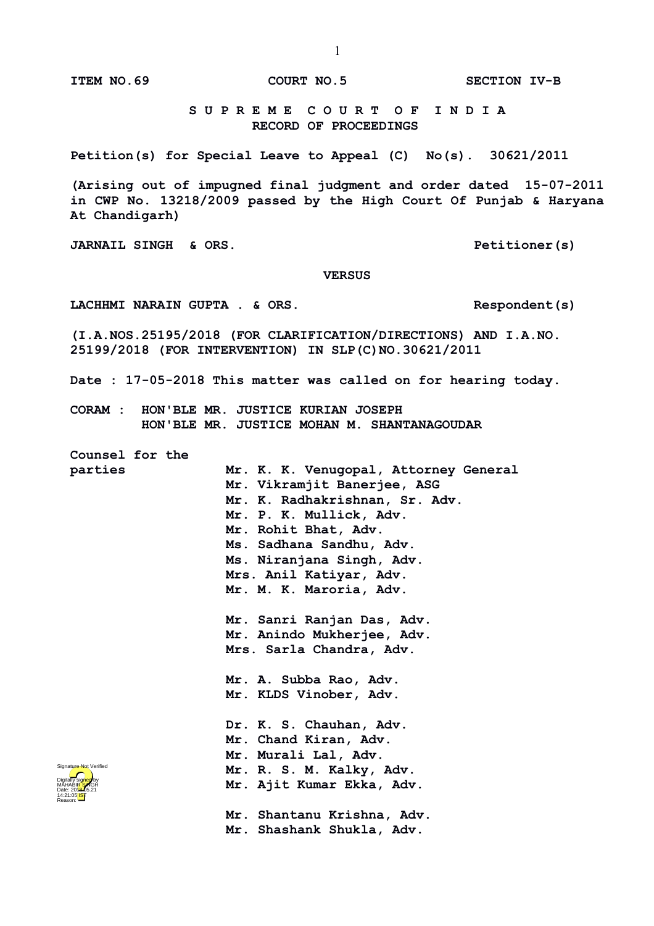**ITEM NO.69 COURT NO.5 SECTION IV-B**

 **S U P R E M E C O U R T O F I N D I A RECORD OF PROCEEDINGS**

**Petition(s) for Special Leave to Appeal (C) No(s). 30621/2011**

**(Arising out of impugned final judgment and order dated 15-07-2011 in CWP No. 13218/2009 passed by the High Court Of Punjab & Haryana At Chandigarh)**

**JARNAIL SINGH & ORS. Petitioner(s)**

 **VERSUS**

LACHHMI NARAIN GUPTA . & ORS. Respondent(s)

**(I.A.NOS.25195/2018 (FOR CLARIFICATION/DIRECTIONS) AND I.A.NO. 25199/2018 (FOR INTERVENTION) IN SLP(C)NO.30621/2011** 

**Date : 17-05-2018 This matter was called on for hearing today.**

**CORAM : HON'BLE MR. JUSTICE KURIAN JOSEPH HON'BLE MR. JUSTICE MOHAN M. SHANTANAGOUDAR**

**Counsel for the** 

**parties Mr. K. K. Venugopal, Attorney General Mr. Vikramjit Banerjee, ASG Mr. K. Radhakrishnan, Sr. Adv. Mr. P. K. Mullick, Adv. Mr. Rohit Bhat, Adv. Ms. Sadhana Sandhu, Adv. Ms. Niranjana Singh, Adv. Mrs. Anil Katiyar, Adv. Mr. M. K. Maroria, Adv. Mr. Sanri Ranjan Das, Adv. Mr. Anindo Mukherjee, Adv. Mrs. Sarla Chandra, Adv. Mr. A. Subba Rao, Adv. Mr. KLDS Vinober, Adv.** 

> **Dr. K. S. Chauhan, Adv. Mr. Chand Kiran, Adv. Mr. Murali Lal, Adv. Mr. R. S. M. Kalky, Adv. Mr. Ajit Kumar Ekka, Adv.**

**Mr. Shantanu Krishna, Adv. Mr. Shashank Shukla, Adv.**